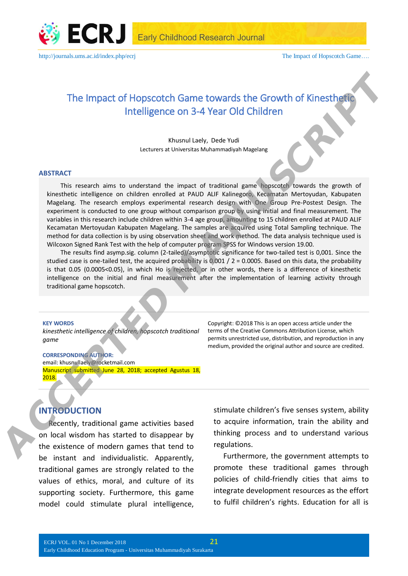

# The Impact of Hopscotch Game towards the Growth of Kinesthetic Intelligence on 3-4 Year Old Children

Khusnul Laely, Dede Yudi Lecturers at Universitas Muhammadiyah Magelang

#### **ABSTRACT**

This research aims to understand the impact of traditional game hopscotch towards the growth of kinesthetic intelligence on children enrolled at PAUD ALIF Kalinegoro, Kecamatan Mertoyudan, Kabupaten Magelang. The research employs experimental research design with One Group Pre-Postest Design. The experiment is conducted to one group without comparison group by using initial and final measurement. The variables in this research include children within 3-4 age group, amounting to 15 children enrolled at PAUD ALIF Kecamatan Mertoyudan Kabupaten Magelang. The samples are acquired using Total Sampling technique. The method for data collection is by using observation sheet and work method. The data analysis technique used is Wilcoxon Signed Rank Test with the help of computer program SPSS for Windows version 19.00. The Impact of Hopscotch. Game towards the Growth of Kinesthetter<br>
Intelligence on 3-4 Year Old Children<br>
through Children<br>
through Children<br>
through Children<br>
through Children<br>
Hopston allowed to the method and PAU AIF Kin

The results find asymp.sig. column (2-tailed)/asymptotic significance for two-tailed test is 0,001. Since the studied case is one-tailed test, the acquired probability is 0.001 /  $2 = 0.0005$ . Based on this data, the probability is that 0.05 (0.0005<0.05), in which Ho is rejected, or in other words, there is a difference of kinesthetic intelligence on the initial and final measurement after the implementation of learning activity through

#### **KEY WORDS**

*kinesthetic intelligence of children, hopscotch traditional game*

**CORRESPONDING AUTHOR:** email: khusnullaely@rocketmail.com Manuscript submitted June 28, 2018; accepted Agustus 18, 2018.

Copyright: ©2018 This is an open access article under the terms of the Creative Commons Attribution License, which permits unrestricted use, distribution, and reproduction in any medium, provided the original author and source are credited.

# **INTRODUCTION**

Recently, traditional game activities based on local wisdom has started to disappear by the existence of modern games that tend to be instant and individualistic. Apparently, traditional games are strongly related to the values of ethics, moral, and culture of its supporting society. Furthermore, this game model could stimulate plural intelligence,

stimulate children's five senses system, ability to acquire information, train the ability and thinking process and to understand various regulations.

Furthermore, the government attempts to promote these traditional games through policies of child-friendly cities that aims to integrate development resources as the effort to fulfil children's rights. Education for all is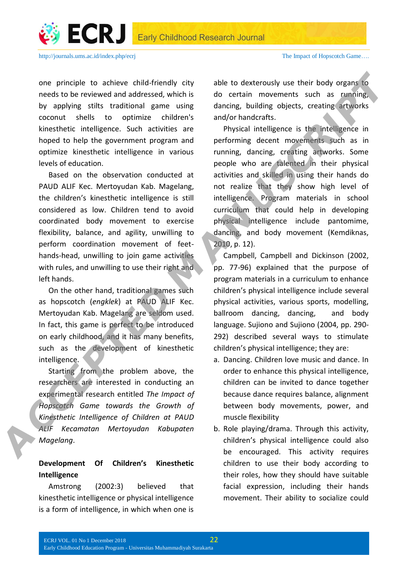

one principle to achieve child-friendly city needs to be reviewed and addressed, which is by applying stilts traditional game using coconut shells to optimize children's kinesthetic intelligence. Such activities are hoped to help the government program and optimize kinesthetic intelligence in various levels of education.

Based on the observation conducted at PAUD ALIF Kec. Mertoyudan Kab. Magelang, the children's kinesthetic intelligence is still considered as low. Children tend to avoid coordinated body movement to exercise flexibility, balance, and agility, unwilling to perform coordination movement of feethands-head, unwilling to join game activities with rules, and unwilling to use their right and left hands.

On the other hand, traditional games such as hopscotch (*engklek*) at PAUD ALIF Kec. Mertoyudan Kab. Magelang are seldom used. In fact, this game is perfect to be introduced on early childhood, and it has many benefits, such as the development of kinesthetic intelligence.

Starting from the problem above, the researchers are interested in conducting an experimental research entitled *The Impact of Hopscotch Game towards the Growth of Kinesthetic Intelligence of Children at PAUD ALIF Kecamatan Mertoyudan Kabupaten Magelang*.

# **Development Of Children's Kinesthetic Intelligence**

Amstrong (2002:3) believed that kinesthetic intelligence or physical intelligence is a form of intelligence, in which when one is

able to dexterously use their body organs to do certain movements such as running, dancing, building objects, creating artworks and/or handcrafts.

Physical intelligence is the intelligence in performing decent movements such as in running, dancing, creating artworks. Some people who are talented in their physical activities and skilled in using their hands do not realize that they show high level of intelligence. Program materials in school curriculum that could help in developing physical intelligence include pantomime, dancing, and body movement (Kemdiknas, 2010, p. 12). one principle to achieve child-finndly city able to dectrosuly we their body organy for<br>
medde to excelsion and addressed, which is do ecclesion movements, such as coming<br>
by applying stills traditional game using daming,

Campbell, Campbell and Dickinson (2002, pp. 77-96) explained that the purpose of program materials in a curriculum to enhance children's physical intelligence include several physical activities, various sports, modelling, ballroom dancing, dancing, and body language. Sujiono and Sujiono (2004, pp. 290- 292) described several ways to stimulate children's physical intelligence; they are:

- a. Dancing. Children love music and dance. In order to enhance this physical intelligence, children can be invited to dance together because dance requires balance, alignment between body movements, power, and muscle flexibility
- b. Role playing/drama. Through this activity, children's physical intelligence could also be encouraged. This activity requires children to use their body according to their roles, how they should have suitable facial expression, including their hands movement. Their ability to socialize could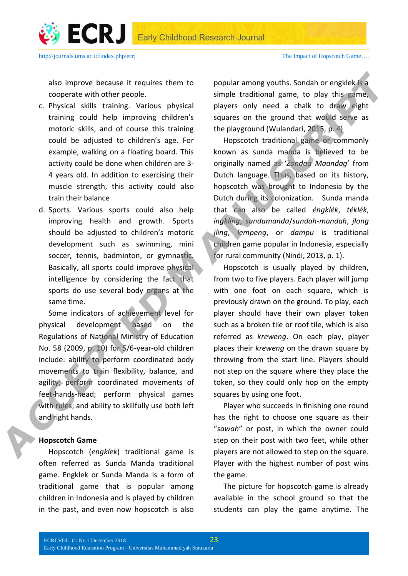

also improve because it requires them to cooperate with other people.

- c. Physical skills training. Various physical training could help improving children's motoric skills, and of course this training could be adjusted to children's age. For example, walking on a floating board. This activity could be done when children are 3- 4 years old. In addition to exercising their muscle strength, this activity could also train their balance
- d. Sports. Various sports could also help improving health and growth. Sports should be adjusted to children's motoric development such as swimming, mini soccer, tennis, badminton, or gymnastic. Basically, all sports could improve physical intelligence by considering the fact that sports do use several body organs at the same time.

Some indicators of achievement level for physical development based on the Regulations of National Ministry of Education No. 58 (2009, p. 10) for 5/6-year-old children include: ability to perform coordinated body movements to train flexibility, balance, and agility; perform coordinated movements of feet-hands-head; perform physical games with rules; and ability to skillfully use both left and right hands.

#### **Hopscotch Game**

Hopscotch (*engklek*) traditional game is often referred as Sunda Manda traditional game. Engklek or Sunda Manda is a form of traditional game that is popular among children in Indonesia and is played by children in the past, and even now hopscotch is also popular among youths. Sondah or engklek is a simple traditional game, to play this game, players only need a chalk to draw eight squares on the ground that would serve as the playground (Wulandari, 2015, p. 4)

Hopscotch traditional game or commonly known as sunda manda is believed to be originally named as '*Zondag Maandag*' from Dutch language. Thus, based on its history, hopscotch was brought to Indonesia by the Dutch during its colonization. Sunda manda that can also be called *éngklék*, *téklék*, *ingkling*, *sundamanda*/*sundah-mandah*, *jlong jling*, *lempeng*, or *dampu* is traditional children game popular in Indonesia, especially for rural community (Nindi, 2013, p. 1).

Hopscotch is usually played by children, from two to five players. Each player will jump with one foot on each square, which is previously drawn on the ground. To play, each player should have their own player token such as a broken tile or roof tile, which is also referred as *kreweng*. On each play, player places their *kreweng* on the drawn square by throwing from the start line. Players should not step on the square where they place the token, so they could only hop on the empty squares by using one foot. also improve because it requires them to popular among youths. Sonda or engleles fraction concerned with other people. This example, the simulation agent, c by the training could be individually provided in the training co

Player who succeeds in finishing one round has the right to choose one square as their "*sawah*" or post, in which the owner could step on their post with two feet, while other players are not allowed to step on the square. Player with the highest number of post wins the game.

The picture for hopscotch game is already available in the school ground so that the students can play the game anytime. The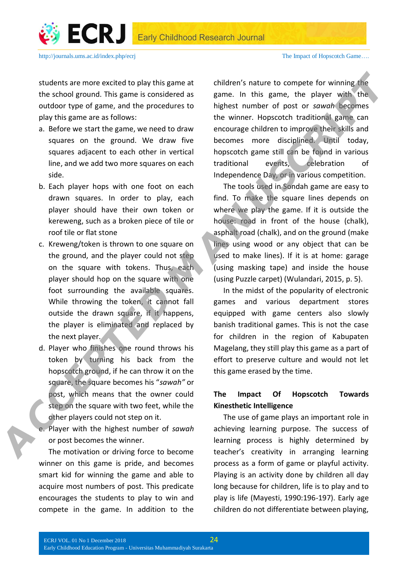

students are more excited to play this game at the school ground. This game is considered as outdoor type of game, and the procedures to play this game are as follows:

- a. Before we start the game, we need to draw squares on the ground. We draw five squares adjacent to each other in vertical line, and we add two more squares on each side.
- b. Each player hops with one foot on each drawn squares. In order to play, each player should have their own token or kereweng, such as a broken piece of tile or roof tile or flat stone
- c. Kreweng/token is thrown to one square on the ground, and the player could not step on the square with tokens. Thus, each player should hop on the square with one foot surrounding the available squares. While throwing the token, it cannot fall outside the drawn square, if it happens, the player is eliminated and replaced by the next player.
- d. Player who finishes one round throws his token by turning his back from the hopscotch ground, if he can throw it on the square, the square becomes his "*sawah"* or post, which means that the owner could step on the square with two feet, while the other players could not step on it.

e. Player with the highest number of *sawah* or post becomes the winner.

The motivation or driving force to become winner on this game is pride, and becomes smart kid for winning the game and able to acquire most numbers of post. This predicate encourages the students to play to win and compete in the game. In addition to the

children's nature to compete for winning the game. In this game, the player with the highest number of post or *sawah* becomes the winner. Hopscotch traditional game can encourage children to improve their skills and becomes more disciplined. Until today, hopscotch game still can be found in various traditional events, celebration of Independence Day, or in various competition. **Accelered State more excited to play this game at** children's nature to complete for winning figure, the play of the play of the play of the play of the play of this game and its considerable proposition and the procedure

The tools used in Sondah game are easy to find. To make the square lines depends on where we play the game. If it is outside the house: road in front of the house (chalk), asphalt road (chalk), and on the ground (make lines using wood or any object that can be used to make lines). If it is at home: garage (using masking tape) and inside the house (using Puzzle carpet) (Wulandari, 2015, p. 5).

In the midst of the popularity of electronic games and various department stores equipped with game centers also slowly banish traditional games. This is not the case for children in the region of Kabupaten Magelang, they still play this game as a part of effort to preserve culture and would not let this game erased by the time.

### **The Impact Of Hopscotch Towards Kinesthetic Intelligence**

The use of game plays an important role in achieving learning purpose. The success of learning process is highly determined by teacher's creativity in arranging learning process as a form of game or playful activity. Playing is an activity done by children all day long because for children, life is to play and to play is life (Mayesti, 1990:196-197). Early age children do not differentiate between playing,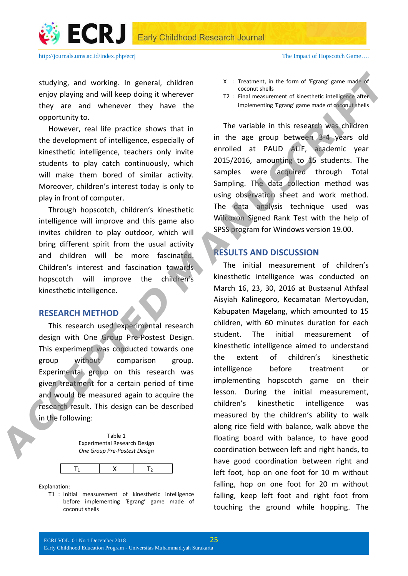



studying, and working. In general, children enjoy playing and will keep doing it wherever they are and whenever they have the opportunity to.

However, real life practice shows that in the development of intelligence, especially of kinesthetic intelligence, teachers only invite students to play catch continuously, which will make them bored of similar activity. Moreover, children's interest today is only to play in front of computer.

Through hopscotch, children's kinesthetic intelligence will improve and this game also invites children to play outdoor, which will bring different spirit from the usual activity and children will be more fascinated. Children's interest and fascination towards hopscotch will improve the children's kinesthetic intelligence.

#### **RESEARCH METHOD**

This research used experimental research design with One Group Pre-Postest Design. This experiment was conducted towards one group without comparison group. Experimental group on this research was given treatment for a certain period of time and would be measured again to acquire the research result. This design can be described in the following:





Explanation:

T1 : Initial measurement of kinesthetic intelligence before implementing 'Egrang' game made of coconut shells

http://journals.ums.ac.id/index.php/ecrj The Impact of Hopscotch Game....

- X : Treatment, in the form of 'Egrang' game made of coconut shells
- T2 : Final measurement of kinesthetic intelligence after implementing 'Egrang' game made of coconut shells

The variable in this research was children in the age group between 3-4 years old enrolled at PAUD ALIF, academic year 2015/2016, amounting to 15 students. The samples were acquired through Total Sampling. The data collection method was using observation sheet and work method. The data analysis technique used was Wilcoxon Signed Rank Test with the help of SPSS program for Windows version 19.00.

### **RESULTS AND DISCUSSION**

The initial measurement of children's kinesthetic intelligence was conducted on March 16, 23, 30, 2016 at Bustaanul Athfaal Aisyiah Kalinegoro, Kecamatan Mertoyudan, Kabupaten Magelang, which amounted to 15 children, with 60 minutes duration for each student. The initial measurement of kinesthetic intelligence aimed to understand the extent of children's kinesthetic intelligence before treatment or implementing hopscotch game on their lesson. During the initial measurement, children's kinesthetic intelligence was measured by the children's ability to walk along rice field with balance, walk above the floating board with balance, to have good coordination between left and right hands, to have good coordination between right and left foot, hop on one foot for 10 m without falling, hop on one foot for 20 m without falling, keep left foot and right foot from touching the ground while hopping. The Actualying, and working. In general, children<br>
Cocondisting<br>
Cocondisting<br>
Cocondisting<br>
Cocondisting<br>
they are and with<br>cocondisting the veroce respectively. Their examples are the presentent of the<br>
Here and with these d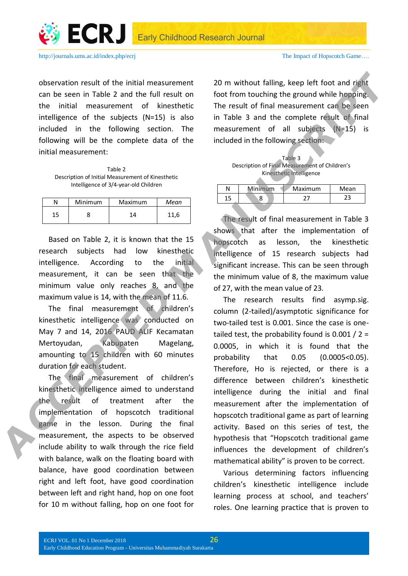

observation result of the initial measurement can be seen in Table 2 and the full result on the initial measurement of kinesthetic intelligence of the subjects (N=15) is also included in the following section. The following will be the complete data of the initial measurement:

Table 2 Description of Initial Measurement of Kinesthetic Intelligence of 3/4-year-old Children

| N  | Minimum | Maximum | Mean |
|----|---------|---------|------|
| 15 |         | 11      | 11.6 |

Based on Table 2, it is known that the 15 research subjects had low kinesthetic intelligence. According to the initial measurement, it can be seen that the minimum value only reaches 8, and the maximum value is 14, with the mean of 11.6.

The final measurement of children's kinesthetic intelligence was conducted on May 7 and 14, 2016 PAUD ALIF Kecamatan Mertoyudan, Kabupaten Magelang, amounting to 15 children with 60 minutes duration for each student.

The final measurement of children's kinesthetic intelligence aimed to understand the result of treatment after the implementation of hopscotch traditional game in the lesson. During the final measurement, the aspects to be observed include ability to walk through the rice field with balance, walk on the floating board with balance, have good coordination between right and left foot, have good coordination between left and right hand, hop on one foot for 10 m without falling, hop on one foot for

20 m without falling, keep left foot and right foot from touching the ground while hopping. The result of final measurement can be seen in Table 3 and the complete result of final measurement of all subjects (N=15) is included in the following section:

| Table 3                                        |  |  |  |  |
|------------------------------------------------|--|--|--|--|
| Description of Final Measurement of Children's |  |  |  |  |
| Kinesthetic Intelligence                       |  |  |  |  |
|                                                |  |  |  |  |

|    | Minimum | Maximum | Mean |
|----|---------|---------|------|
| 15 |         |         | 23   |
|    |         |         |      |

The result of final measurement in Table 3 shows that after the implementation of hopscotch as lesson, the kinesthetic intelligence of 15 research subjects had significant increase. This can be seen through the minimum value of 8, the maximum value of 27, with the mean value of 23.

The research results find asymp.sig. column (2-tailed)/asymptotic significance for two-tailed test is 0.001. Since the case is onetailed test, the probability found is 0.001 /  $2 =$ 0.0005, in which it is found that the probability that 0.05 (0.0005<0.05). Therefore, Ho is rejected, or there is a difference between children's kinesthetic intelligence during the initial and final measurement after the implementation of hopscotch traditional game as part of learning activity. Based on this series of test, the hypothesis that "Hopscotch traditional game influences the development of children's mathematical ability" is proven to be correct. **Constraining to the initial measurement** 20 m without failing, keep left froot and plat<br>
Can be seen in Table 2 and the full results of the initial measurement of kinesible<br>
in the initial measurement of kinesibles The re

> Various determining factors influencing children's kinesthetic intelligence include learning process at school, and teachers' roles. One learning practice that is proven to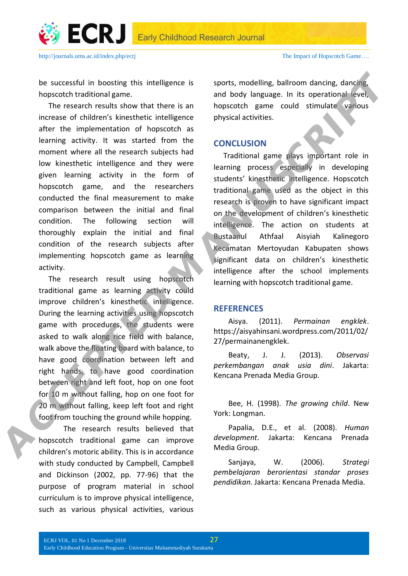ECRJ Early Childhood Research Journal



be successful in boosting this intelligence is hopscotch traditional game.

The research results show that there is an increase of children's kinesthetic intelligence after the implementation of hopscotch as learning activity. It was started from the moment where all the research subjects had low kinesthetic intelligence and they were given learning activity in the form of hopscotch game, and the researchers conducted the final measurement to make comparison between the initial and final condition. The following section will thoroughly explain the initial and final condition of the research subjects after implementing hopscotch game as learning activity. **be successful in boosting this intelligence is sports, modelling, ballroom dianting, dansing<br>
The rescarch recalis show that there is an and body language. In its operation allows a model in the presentation of hopsocial** 

The research result using hopscotch traditional game as learning activity could improve children's kinesthetic intelligence. During the learning activities using hopscotch game with procedures, the students were asked to walk along rice field with balance, walk above the floating board with balance, to have good coordination between left and right hands, to have good coordination between right and left foot, hop on one foot for 10 m without falling, hop on one foot for 20 m without falling, keep left foot and right foot from touching the ground while hopping.

The research results believed that hopscotch traditional game can improve children's motoric ability. This is in accordance with study conducted by Campbell, Campbell and Dickinson (2002, pp. 77-96) that the purpose of program material in school curriculum is to improve physical intelligence, such as various physical activities, various

sports, modelling, ballroom dancing, dancing, and body language. In its operational level, hopscotch game could stimulate various physical activities.

# **CONCLUSION**

Traditional game plays important role in learning process especially in developing students' kinesthetic intelligence. Hopscotch traditional game used as the object in this research is proven to have significant impact on the development of children's kinesthetic intelligence. The action on students at Bustaanul Athfaal Aisyiah Kalinegoro Kecamatan Mertoyudan Kabupaten shows significant data on children's kinesthetic intelligence after the school implements learning with hopscotch traditional game.

#### **REFERENCES**

Aisya. (2011). *Permainan engklek*. https://aisyahinsani.wordpress.com/2011/02/ 27/permainanengklek.

Beaty, J. J. (2013). *Observasi perkembangan anak usia dini*. Jakarta: Kencana Prenada Media Group.

Bee, H. (1998). *The growing child*. New York: Longman.

Papalia, D.E., et al. (2008). *Human development*. Jakarta: Kencana Prenada Media Group.

Sanjaya, W. (2006). *Strategi pembelajaran berorientasi standar proses pendidikan*. Jakarta: Kencana Prenada Media.